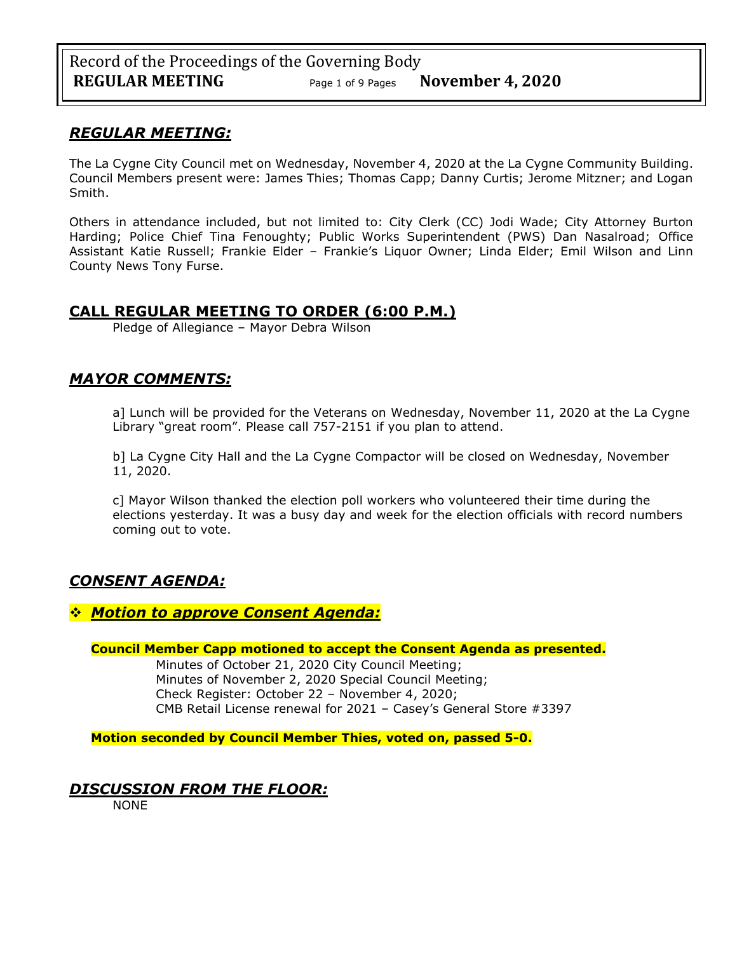# *REGULAR MEETING:*

The La Cygne City Council met on Wednesday, November 4, 2020 at the La Cygne Community Building. Council Members present were: James Thies; Thomas Capp; Danny Curtis; Jerome Mitzner; and Logan Smith.

Others in attendance included, but not limited to: City Clerk (CC) Jodi Wade; City Attorney Burton Harding; Police Chief Tina Fenoughty; Public Works Superintendent (PWS) Dan Nasalroad; Office Assistant Katie Russell; Frankie Elder – Frankie's Liquor Owner; Linda Elder; Emil Wilson and Linn County News Tony Furse.

# **CALL REGULAR MEETING TO ORDER (6:00 P.M.)**

Pledge of Allegiance – Mayor Debra Wilson

# *MAYOR COMMENTS:*

a] Lunch will be provided for the Veterans on Wednesday, November 11, 2020 at the La Cygne Library "great room". Please call 757-2151 if you plan to attend.

b] La Cygne City Hall and the La Cygne Compactor will be closed on Wednesday, November 11, 2020.

c] Mayor Wilson thanked the election poll workers who volunteered their time during the elections yesterday. It was a busy day and week for the election officials with record numbers coming out to vote.

# *CONSENT AGENDA:*

# ❖ *Motion to approve Consent Agenda:*

## **Council Member Capp motioned to accept the Consent Agenda as presented.**

Minutes of October 21, 2020 City Council Meeting; Minutes of November 2, 2020 Special Council Meeting; Check Register: October 22 – November 4, 2020; CMB Retail License renewal for 2021 – Casey's General Store #3397

**Motion seconded by Council Member Thies, voted on, passed 5-0.** 

# *DISCUSSION FROM THE FLOOR:*

**NONE**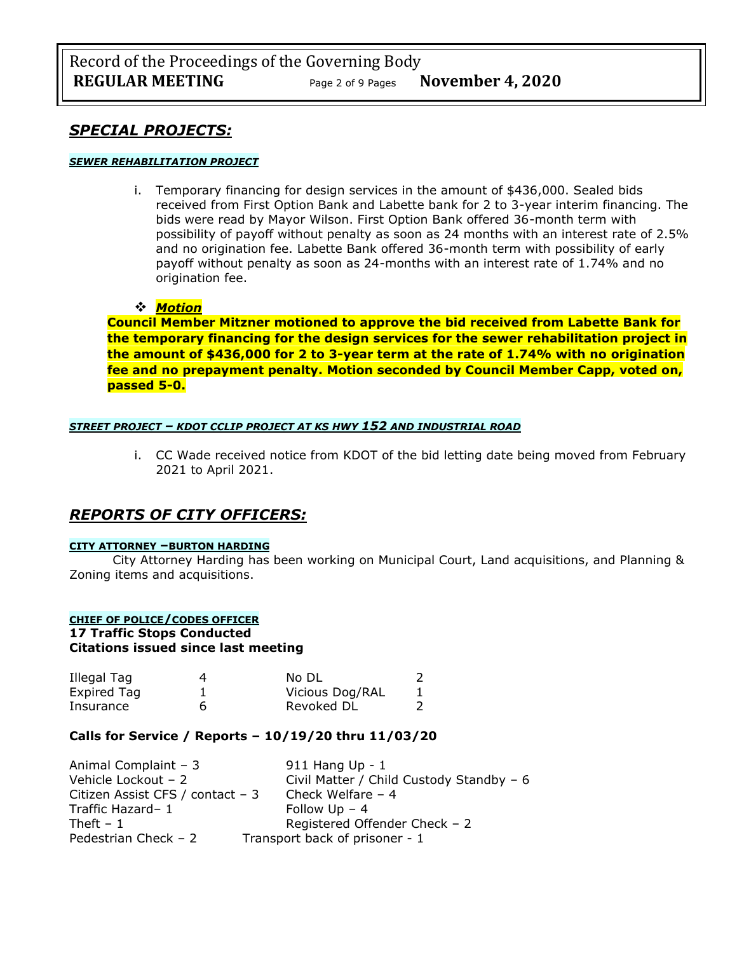# *SPECIAL PROJECTS:*

### *SEWER REHABILITATION PROJECT*

i. Temporary financing for design services in the amount of \$436,000. Sealed bids received from First Option Bank and Labette bank for 2 to 3-year interim financing. The bids were read by Mayor Wilson. First Option Bank offered 36-month term with possibility of payoff without penalty as soon as 24 months with an interest rate of 2.5% and no origination fee. Labette Bank offered 36-month term with possibility of early payoff without penalty as soon as 24-months with an interest rate of 1.74% and no origination fee.

### ❖ *Motion*

**Council Member Mitzner motioned to approve the bid received from Labette Bank for the temporary financing for the design services for the sewer rehabilitation project in the amount of \$436,000 for 2 to 3-year term at the rate of 1.74% with no origination fee and no prepayment penalty. Motion seconded by Council Member Capp, voted on, passed 5-0.**

### *STREET PROJECT – KDOT CCLIP PROJECT AT KS HWY 152 AND INDUSTRIAL ROAD*

i. CC Wade received notice from KDOT of the bid letting date being moved from February 2021 to April 2021.

# *REPORTS OF CITY OFFICERS:*

### **CITY ATTORNEY –BURTON HARDING**

City Attorney Harding has been working on Municipal Court, Land acquisitions, and Planning & Zoning items and acquisitions.

### **CHIEF OF POLICE/CODES OFFICER 17 Traffic Stops Conducted Citations issued since last meeting**

| Illegal Tag | 4 | No DL           |  |
|-------------|---|-----------------|--|
| Expired Tag |   | Vicious Dog/RAL |  |
| Insurance   |   | Revoked DL      |  |

## **Calls for Service / Reports – 10/19/20 thru 11/03/20**

| Animal Complaint - 3              | 911 Hang $Up - 1$                        |
|-----------------------------------|------------------------------------------|
| Vehicle Lockout - 2               | Civil Matter / Child Custody Standby - 6 |
| Citizen Assist CFS / contact $-3$ | Check Welfare $-4$                       |
| Traffic Hazard-1                  | Follow $Up - 4$                          |
| Theft $-1$                        | Registered Offender Check - 2            |
| Pedestrian Check $-2$             | Transport back of prisoner - 1           |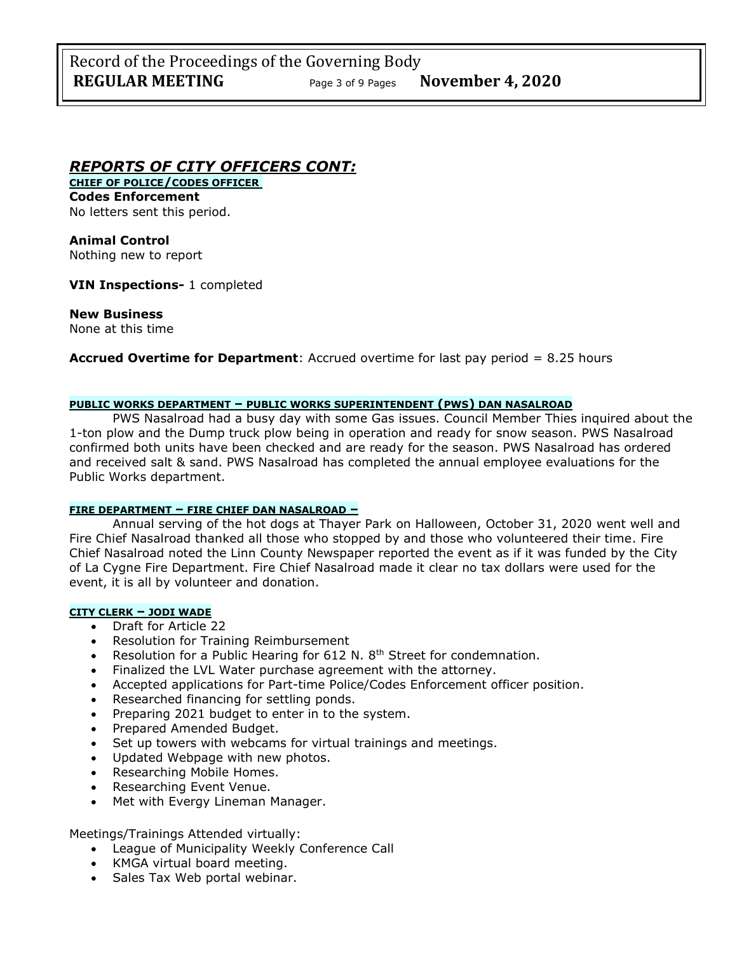# *REPORTS OF CITY OFFICERS CONT:*

**CHIEF OF POLICE/CODES OFFICER Codes Enforcement** No letters sent this period.

**Animal Control** Nothing new to report

**VIN Inspections-** 1 completed

## **New Business**

None at this time

**Accrued Overtime for Department**: Accrued overtime for last pay period = 8.25 hours

### **PUBLIC WORKS DEPARTMENT – PUBLIC WORKS SUPERINTENDENT (PWS) DAN NASALROAD**

PWS Nasalroad had a busy day with some Gas issues. Council Member Thies inquired about the 1-ton plow and the Dump truck plow being in operation and ready for snow season. PWS Nasalroad confirmed both units have been checked and are ready for the season. PWS Nasalroad has ordered and received salt & sand. PWS Nasalroad has completed the annual employee evaluations for the Public Works department.

### **FIRE DEPARTMENT – FIRE CHIEF DAN NASALROAD –**

Annual serving of the hot dogs at Thayer Park on Halloween, October 31, 2020 went well and Fire Chief Nasalroad thanked all those who stopped by and those who volunteered their time. Fire Chief Nasalroad noted the Linn County Newspaper reported the event as if it was funded by the City of La Cygne Fire Department. Fire Chief Nasalroad made it clear no tax dollars were used for the event, it is all by volunteer and donation.

### **CITY CLERK – JODI WADE**

- Draft for Article 22
- Resolution for Training Reimbursement
- Resolution for a Public Hearing for 612 N. 8<sup>th</sup> Street for condemnation.
- Finalized the LVL Water purchase agreement with the attorney.
- Accepted applications for Part-time Police/Codes Enforcement officer position.
- Researched financing for settling ponds.
- Preparing 2021 budget to enter in to the system.
- Prepared Amended Budget.
- Set up towers with webcams for virtual trainings and meetings.
- Updated Webpage with new photos.
- Researching Mobile Homes.
- Researching Event Venue.
- Met with Evergy Lineman Manager.

Meetings/Trainings Attended virtually:

- League of Municipality Weekly Conference Call
- KMGA virtual board meeting.
- Sales Tax Web portal webinar.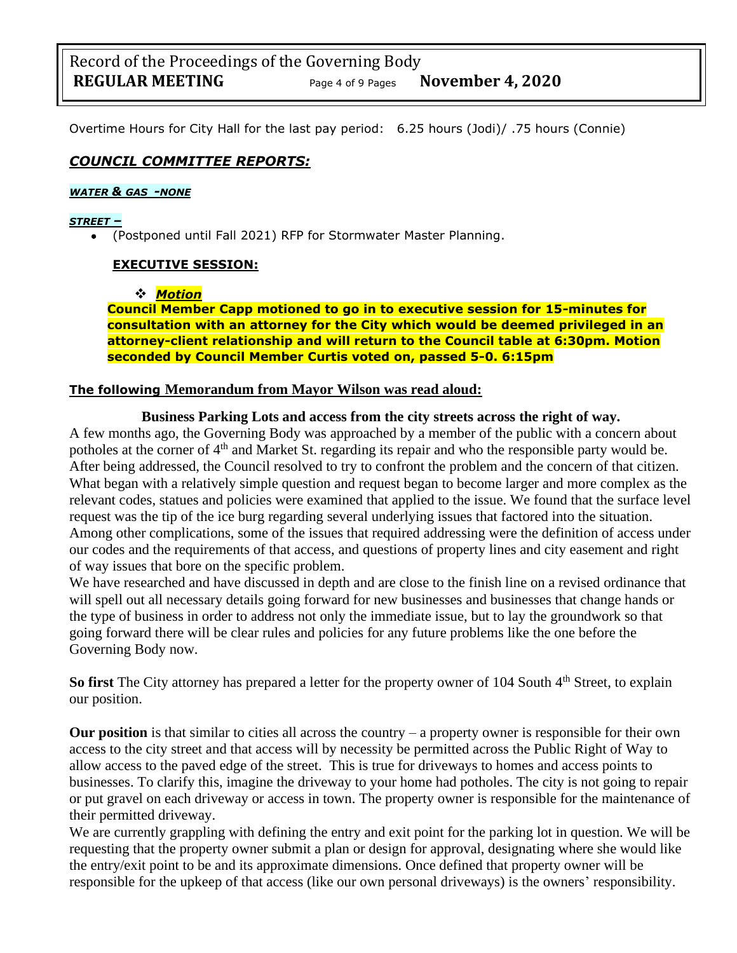Overtime Hours for City Hall for the last pay period: 6.25 hours (Jodi)/ .75 hours (Connie)

# *COUNCIL COMMITTEE REPORTS:*

## *WATER & GAS -NONE*

## *STREET –*

• (Postponed until Fall 2021) RFP for Stormwater Master Planning.

# **EXECUTIVE SESSION:**

## ❖ *Motion*

**Council Member Capp motioned to go in to executive session for 15-minutes for consultation with an attorney for the City which would be deemed privileged in an attorney-client relationship and will return to the Council table at 6:30pm. Motion seconded by Council Member Curtis voted on, passed 5-0. 6:15pm** 

# **The following Memorandum from Mayor Wilson was read aloud:**

## **Business Parking Lots and access from the city streets across the right of way.**

A few months ago, the Governing Body was approached by a member of the public with a concern about potholes at the corner of 4<sup>th</sup> and Market St. regarding its repair and who the responsible party would be. After being addressed, the Council resolved to try to confront the problem and the concern of that citizen. What began with a relatively simple question and request began to become larger and more complex as the relevant codes, statues and policies were examined that applied to the issue. We found that the surface level request was the tip of the ice burg regarding several underlying issues that factored into the situation. Among other complications, some of the issues that required addressing were the definition of access under our codes and the requirements of that access, and questions of property lines and city easement and right of way issues that bore on the specific problem.

We have researched and have discussed in depth and are close to the finish line on a revised ordinance that will spell out all necessary details going forward for new businesses and businesses that change hands or the type of business in order to address not only the immediate issue, but to lay the groundwork so that going forward there will be clear rules and policies for any future problems like the one before the Governing Body now.

**So first** The City attorney has prepared a letter for the property owner of 104 South 4<sup>th</sup> Street, to explain our position.

**Our position** is that similar to cities all across the country – a property owner is responsible for their own access to the city street and that access will by necessity be permitted across the Public Right of Way to allow access to the paved edge of the street. This is true for driveways to homes and access points to businesses. To clarify this, imagine the driveway to your home had potholes. The city is not going to repair or put gravel on each driveway or access in town. The property owner is responsible for the maintenance of their permitted driveway.

We are currently grappling with defining the entry and exit point for the parking lot in question. We will be requesting that the property owner submit a plan or design for approval, designating where she would like the entry/exit point to be and its approximate dimensions. Once defined that property owner will be responsible for the upkeep of that access (like our own personal driveways) is the owners' responsibility.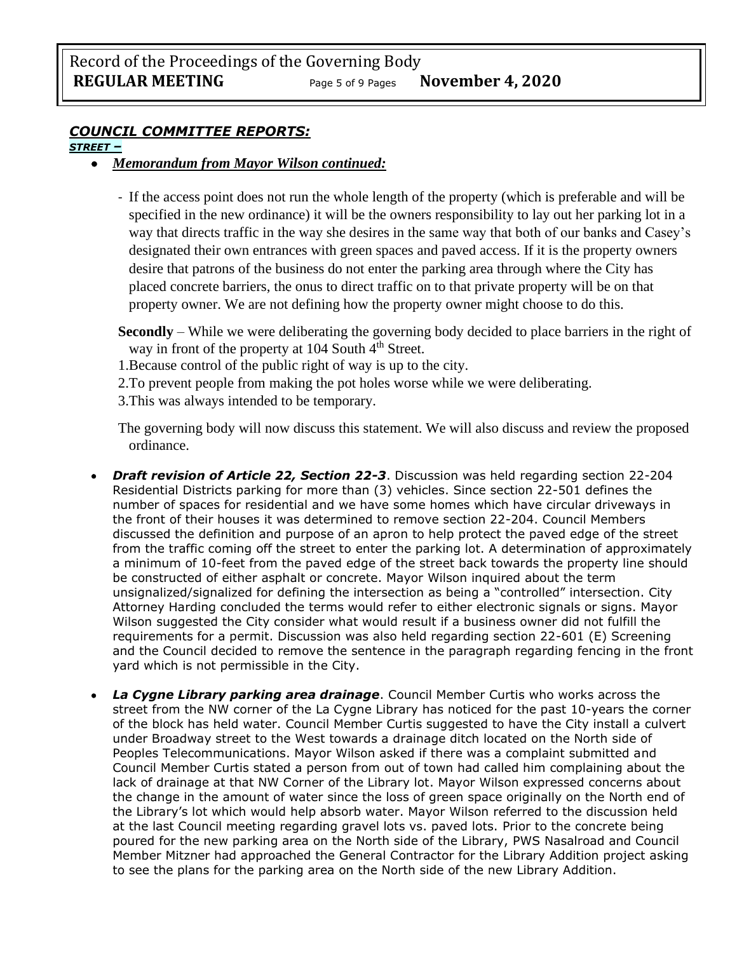# *COUNCIL COMMITTEE REPORTS:*

# *STREET –*

# • *Memorandum from Mayor Wilson continued:*

- If the access point does not run the whole length of the property (which is preferable and will be specified in the new ordinance) it will be the owners responsibility to lay out her parking lot in a way that directs traffic in the way she desires in the same way that both of our banks and Casey's designated their own entrances with green spaces and paved access. If it is the property owners desire that patrons of the business do not enter the parking area through where the City has placed concrete barriers, the onus to direct traffic on to that private property will be on that property owner. We are not defining how the property owner might choose to do this.
- **Secondly**  While we were deliberating the governing body decided to place barriers in the right of way in front of the property at  $104$  South  $4<sup>th</sup>$  Street.
- 1.Because control of the public right of way is up to the city.
- 2.To prevent people from making the pot holes worse while we were deliberating.
- 3.This was always intended to be temporary.

The governing body will now discuss this statement. We will also discuss and review the proposed ordinance.

- *Draft revision of Article 22, Section 22-3*. Discussion was held regarding section 22-204 Residential Districts parking for more than (3) vehicles. Since section 22-501 defines the number of spaces for residential and we have some homes which have circular driveways in the front of their houses it was determined to remove section 22-204. Council Members discussed the definition and purpose of an apron to help protect the paved edge of the street from the traffic coming off the street to enter the parking lot. A determination of approximately a minimum of 10-feet from the paved edge of the street back towards the property line should be constructed of either asphalt or concrete. Mayor Wilson inquired about the term unsignalized/signalized for defining the intersection as being a "controlled" intersection. City Attorney Harding concluded the terms would refer to either electronic signals or signs. Mayor Wilson suggested the City consider what would result if a business owner did not fulfill the requirements for a permit. Discussion was also held regarding section 22-601 (E) Screening and the Council decided to remove the sentence in the paragraph regarding fencing in the front yard which is not permissible in the City.
- *La Cygne Library parking area drainage*. Council Member Curtis who works across the street from the NW corner of the La Cygne Library has noticed for the past 10-years the corner of the block has held water. Council Member Curtis suggested to have the City install a culvert under Broadway street to the West towards a drainage ditch located on the North side of Peoples Telecommunications. Mayor Wilson asked if there was a complaint submitted and Council Member Curtis stated a person from out of town had called him complaining about the lack of drainage at that NW Corner of the Library lot. Mayor Wilson expressed concerns about the change in the amount of water since the loss of green space originally on the North end of the Library's lot which would help absorb water. Mayor Wilson referred to the discussion held at the last Council meeting regarding gravel lots vs. paved lots. Prior to the concrete being poured for the new parking area on the North side of the Library, PWS Nasalroad and Council Member Mitzner had approached the General Contractor for the Library Addition project asking to see the plans for the parking area on the North side of the new Library Addition.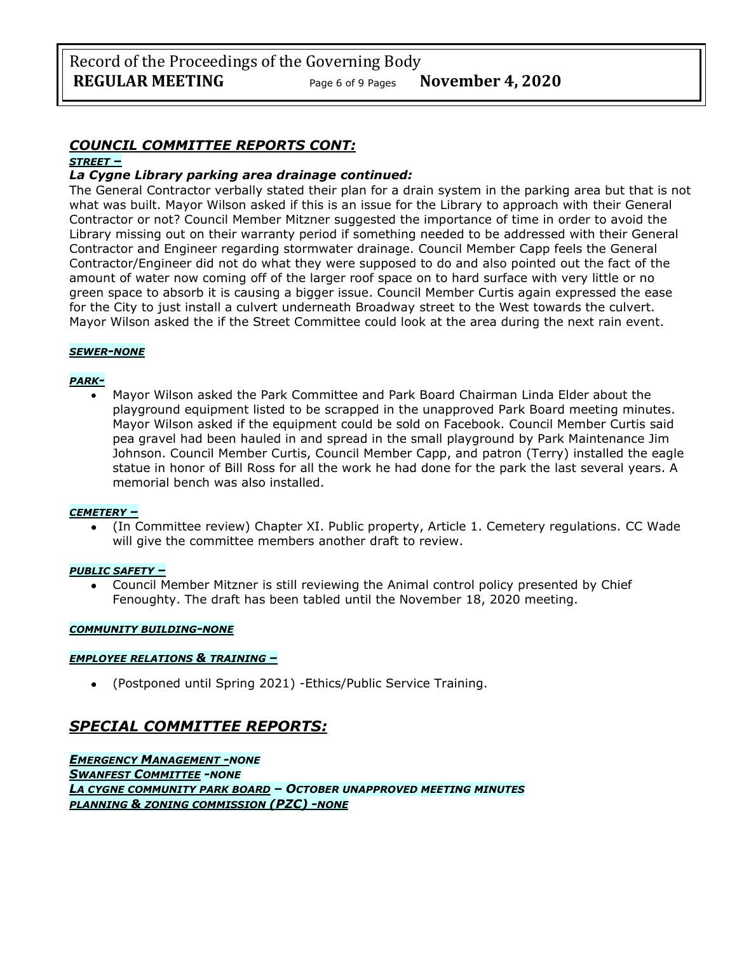# *COUNCIL COMMITTEE REPORTS CONT:*

### *STREET –*

## *La Cygne Library parking area drainage continued:*

The General Contractor verbally stated their plan for a drain system in the parking area but that is not what was built. Mayor Wilson asked if this is an issue for the Library to approach with their General Contractor or not? Council Member Mitzner suggested the importance of time in order to avoid the Library missing out on their warranty period if something needed to be addressed with their General Contractor and Engineer regarding stormwater drainage. Council Member Capp feels the General Contractor/Engineer did not do what they were supposed to do and also pointed out the fact of the amount of water now coming off of the larger roof space on to hard surface with very little or no green space to absorb it is causing a bigger issue. Council Member Curtis again expressed the ease for the City to just install a culvert underneath Broadway street to the West towards the culvert. Mayor Wilson asked the if the Street Committee could look at the area during the next rain event.

## *SEWER-NONE*

### *PARK-*

• Mayor Wilson asked the Park Committee and Park Board Chairman Linda Elder about the playground equipment listed to be scrapped in the unapproved Park Board meeting minutes. Mayor Wilson asked if the equipment could be sold on Facebook. Council Member Curtis said pea gravel had been hauled in and spread in the small playground by Park Maintenance Jim Johnson. Council Member Curtis, Council Member Capp, and patron (Terry) installed the eagle statue in honor of Bill Ross for all the work he had done for the park the last several years. A memorial bench was also installed.

### *CEMETERY –*

• (In Committee review) Chapter XI. Public property, Article 1. Cemetery regulations. CC Wade will give the committee members another draft to review.

### *PUBLIC SAFETY –*

• Council Member Mitzner is still reviewing the Animal control policy presented by Chief Fenoughty. The draft has been tabled until the November 18, 2020 meeting.

### *COMMUNITY BUILDING-NONE*

## *EMPLOYEE RELATIONS & TRAINING –*

• (Postponed until Spring 2021) -Ethics/Public Service Training.

# *SPECIAL COMMITTEE REPORTS:*

*EMERGENCY MANAGEMENT -NONE SWANFEST COMMITTEE -NONE LA CYGNE COMMUNITY PARK BOARD – OCTOBER UNAPPROVED MEETING MINUTES PLANNING & ZONING COMMISSION (PZC) -NONE*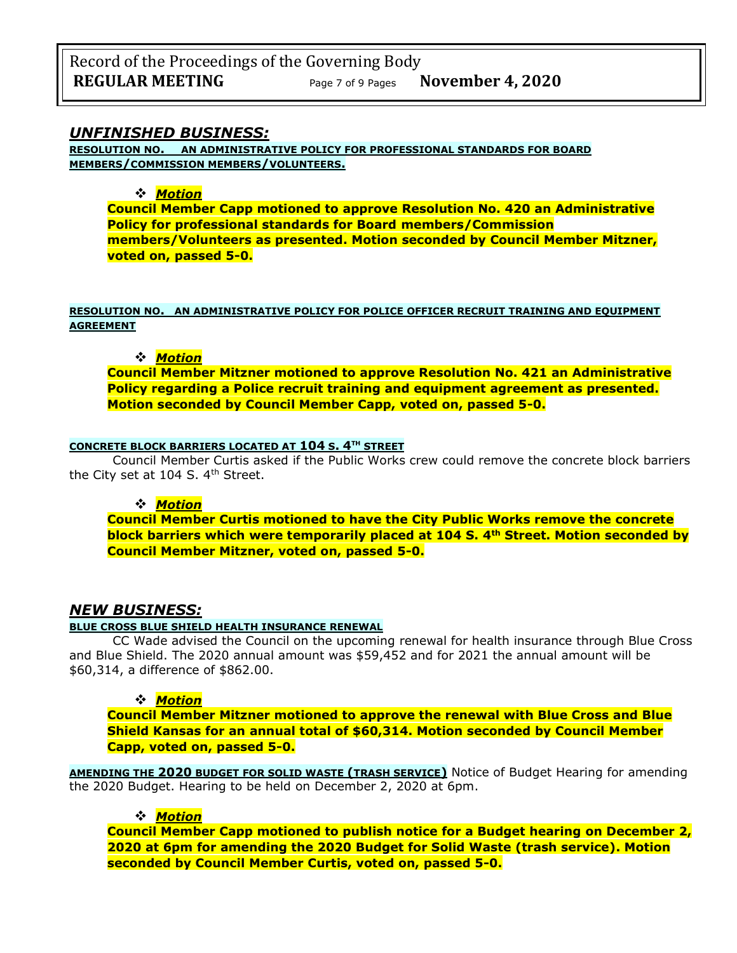Record of the Proceedings of the Governing Body **REGULAR MEETING** Page <sup>7</sup> of 9 Pages **November 4, 2020**

### *UNFINISHED BUSINESS:*

**RESOLUTION NO. AN ADMINISTRATIVE POLICY FOR PROFESSIONAL STANDARDS FOR BOARD MEMBERS/COMMISSION MEMBERS/VOLUNTEERS.**

#### ❖ *Motion*

**Council Member Capp motioned to approve Resolution No. 420 an Administrative Policy for professional standards for Board members/Commission members/Volunteers as presented. Motion seconded by Council Member Mitzner, voted on, passed 5-0.**

### **RESOLUTION NO. AN ADMINISTRATIVE POLICY FOR POLICE OFFICER RECRUIT TRAINING AND EQUIPMENT AGREEMENT**

### ❖ *Motion*

**Council Member Mitzner motioned to approve Resolution No. 421 an Administrative Policy regarding a Police recruit training and equipment agreement as presented. Motion seconded by Council Member Capp, voted on, passed 5-0.**

#### **CONCRETE BLOCK BARRIERS LOCATED AT 104 S. 4TH STREET**

Council Member Curtis asked if the Public Works crew could remove the concrete block barriers the City set at 104 S. 4<sup>th</sup> Street.

#### ❖ *Motion*

**Council Member Curtis motioned to have the City Public Works remove the concrete block barriers which were temporarily placed at 104 S. 4th Street. Motion seconded by Council Member Mitzner, voted on, passed 5-0.**

## *NEW BUSINESS:*

#### **BLUE CROSS BLUE SHIELD HEALTH INSURANCE RENEWAL**

CC Wade advised the Council on the upcoming renewal for health insurance through Blue Cross and Blue Shield. The 2020 annual amount was \$59,452 and for 2021 the annual amount will be \$60,314, a difference of \$862.00.

#### ❖ *Motion*

**Council Member Mitzner motioned to approve the renewal with Blue Cross and Blue Shield Kansas for an annual total of \$60,314. Motion seconded by Council Member Capp, voted on, passed 5-0.**

**AMENDING THE 2020 BUDGET FOR SOLID WASTE (TRASH SERVICE)** Notice of Budget Hearing for amending the 2020 Budget. Hearing to be held on December 2, 2020 at 6pm.

#### ❖ *Motion*

**Council Member Capp motioned to publish notice for a Budget hearing on December 2, 2020 at 6pm for amending the 2020 Budget for Solid Waste (trash service). Motion seconded by Council Member Curtis, voted on, passed 5-0.**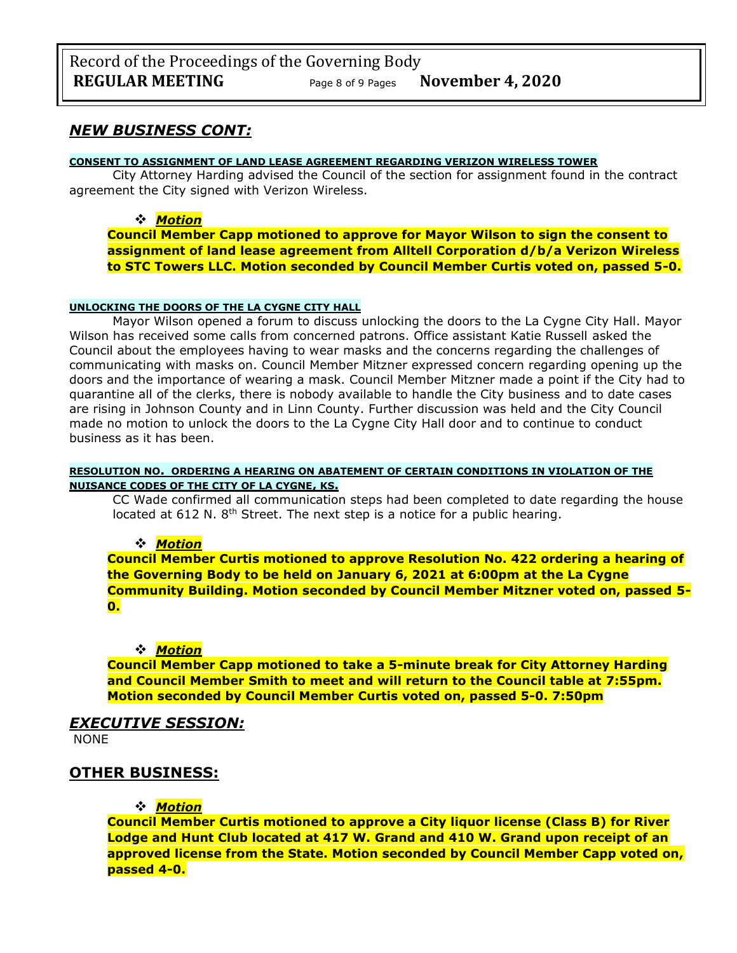## *NEW BUSINESS CONT:*

#### **CONSENT TO ASSIGNMENT OF LAND LEASE AGREEMENT REGARDING VERIZON WIRELESS TOWER**

City Attorney Harding advised the Council of the section for assignment found in the contract agreement the City signed with Verizon Wireless.

### ❖ *Motion*

**Council Member Capp motioned to approve for Mayor Wilson to sign the consent to assignment of land lease agreement from Alltell Corporation d/b/a Verizon Wireless to STC Towers LLC. Motion seconded by Council Member Curtis voted on, passed 5-0.**

### **UNLOCKING THE DOORS OF THE LA CYGNE CITY HALL**

Mayor Wilson opened a forum to discuss unlocking the doors to the La Cygne City Hall. Mayor Wilson has received some calls from concerned patrons. Office assistant Katie Russell asked the Council about the employees having to wear masks and the concerns regarding the challenges of communicating with masks on. Council Member Mitzner expressed concern regarding opening up the doors and the importance of wearing a mask. Council Member Mitzner made a point if the City had to quarantine all of the clerks, there is nobody available to handle the City business and to date cases are rising in Johnson County and in Linn County. Further discussion was held and the City Council made no motion to unlock the doors to the La Cygne City Hall door and to continue to conduct business as it has been.

### **RESOLUTION NO. ORDERING A HEARING ON ABATEMENT OF CERTAIN CONDITIONS IN VIOLATION OF THE NUISANCE CODES OF THE CITY OF LA CYGNE, KS.**

CC Wade confirmed all communication steps had been completed to date regarding the house located at 612 N. 8<sup>th</sup> Street. The next step is a notice for a public hearing.

### ❖ *Motion*

**Council Member Curtis motioned to approve Resolution No. 422 ordering a hearing of the Governing Body to be held on January 6, 2021 at 6:00pm at the La Cygne Community Building. Motion seconded by Council Member Mitzner voted on, passed 5- 0.**

#### ❖ *Motion*

**Council Member Capp motioned to take a 5-minute break for City Attorney Harding and Council Member Smith to meet and will return to the Council table at 7:55pm. Motion seconded by Council Member Curtis voted on, passed 5-0. 7:50pm** 

# *EXECUTIVE SESSION:*

NONE

## **OTHER BUSINESS:**

### ❖ *Motion*

**Council Member Curtis motioned to approve a City liquor license (Class B) for River Lodge and Hunt Club located at 417 W. Grand and 410 W. Grand upon receipt of an approved license from the State. Motion seconded by Council Member Capp voted on, passed 4-0.**